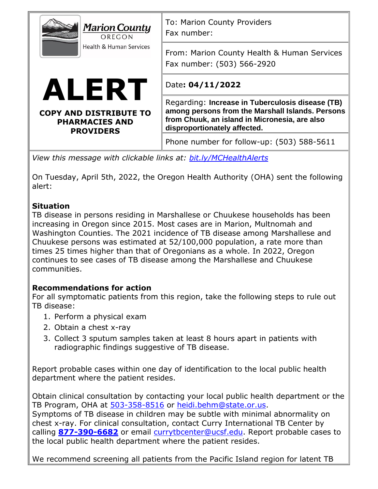| <b>Marion County</b><br>OREGON<br><b>Health &amp; Human Services</b><br>ALERT<br><b>COPY AND DISTRIBUTE TO</b><br><b>PHARMACIES AND</b><br><b>PROVIDERS</b> | To: Marion County Providers<br>Fax number:                                                                                                                                            |
|-------------------------------------------------------------------------------------------------------------------------------------------------------------|---------------------------------------------------------------------------------------------------------------------------------------------------------------------------------------|
|                                                                                                                                                             | From: Marion County Health & Human Services<br>Fax number: (503) 566-2920                                                                                                             |
|                                                                                                                                                             | Date: 04/11/2022                                                                                                                                                                      |
|                                                                                                                                                             | Regarding: Increase in Tuberculosis disease (TB)<br>among persons from the Marshall Islands. Persons<br>from Chuuk, an island in Micronesia, are also<br>disproportionately affected. |
|                                                                                                                                                             | Phone number for follow-up: (503) 588-5611                                                                                                                                            |
| View this message with clickable links at: bit.ly/MCHealthAlerts                                                                                            |                                                                                                                                                                                       |

On Tuesday, April 5th, 2022, the Oregon Health Authority (OHA) sent the following alert:

## **Situation**

TB disease in persons residing in Marshallese or Chuukese households has been increasing in Oregon since 2015. Most cases are in Marion, Multnomah and Washington Counties. The 2021 incidence of TB disease among Marshallese and Chuukese persons was estimated at 52/100,000 population, a rate more than times 25 times higher than that of Oregonians as a whole. In 2022, Oregon continues to see cases of TB disease among the Marshallese and Chuukese communities.

## **Recommendations for action**

For all symptomatic patients from this region, take the following steps to rule out TB disease:

- 1. Perform a physical exam
- 2. Obtain a chest x-ray
- 3. Collect 3 sputum samples taken at least 8 hours apart in patients with radiographic findings suggestive of TB disease.

Report probable cases within one day of identification to the local public health department where the patient resides.

Obtain clinical consultation by contacting your local public health department or the TB Program, OHA at [503-358-8516](tel:5033588516) or [heidi.behm@state.or.us.](mailto:heidi.behm@state.or.us) Symptoms of TB disease in children may be subtle with minimal abnormality on chest x-ray. For clinical consultation, contact Curry International TB Center by calling **[877-390-6682](tel:8773906682)** or email [currytbcenter@ucsf.edu.](mailto:currytbcenter@ucsf.edu) Report probable cases to the local public health department where the patient resides.

We recommend screening all patients from the Pacific Island region for latent TB